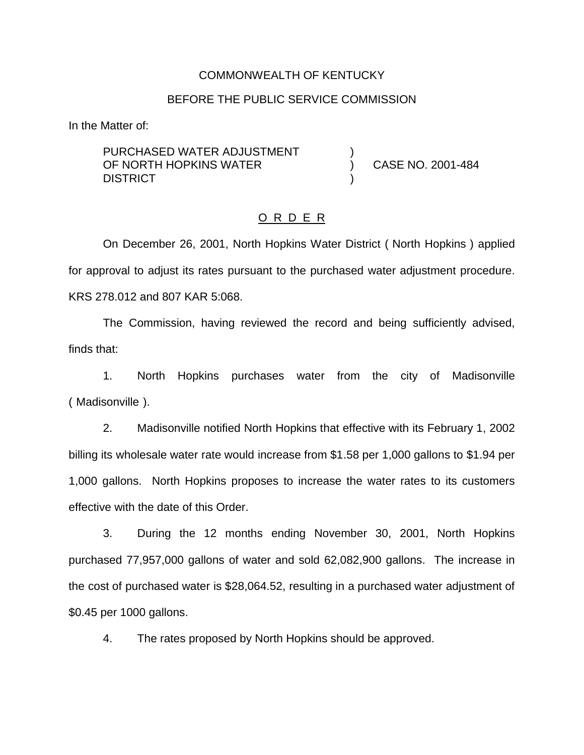### COMMONWEALTH OF KENTUCKY

#### BEFORE THE PUBLIC SERVICE COMMISSION

)

)

In the Matter of:

PURCHASED WATER ADJUSTMENT OF NORTH HOPKINS WATER **DISTRICT** 

) CASE NO. 2001-484

#### O R D E R

On December 26, 2001, North Hopkins Water District ( North Hopkins ) applied for approval to adjust its rates pursuant to the purchased water adjustment procedure. KRS 278.012 and 807 KAR 5:068.

The Commission, having reviewed the record and being sufficiently advised, finds that:

1. North Hopkins purchases water from the city of Madisonville ( Madisonville ).

2. Madisonville notified North Hopkins that effective with its February 1, 2002 billing its wholesale water rate would increase from \$1.58 per 1,000 gallons to \$1.94 per 1,000 gallons. North Hopkins proposes to increase the water rates to its customers effective with the date of this Order.

3. During the 12 months ending November 30, 2001, North Hopkins purchased 77,957,000 gallons of water and sold 62,082,900 gallons. The increase in the cost of purchased water is \$28,064.52, resulting in a purchased water adjustment of \$0.45 per 1000 gallons.

4. The rates proposed by North Hopkins should be approved.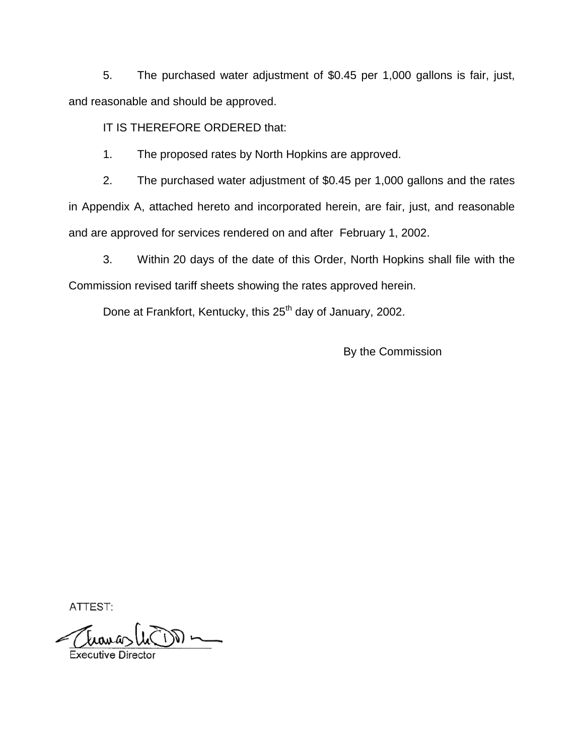5. The purchased water adjustment of \$0.45 per 1,000 gallons is fair, just, and reasonable and should be approved.

IT IS THEREFORE ORDERED that:

1. The proposed rates by North Hopkins are approved.

2. The purchased water adjustment of \$0.45 per 1,000 gallons and the rates in Appendix A, attached hereto and incorporated herein, are fair, just, and reasonable and are approved for services rendered on and after February 1, 2002.

3. Within 20 days of the date of this Order, North Hopkins shall file with the Commission revised tariff sheets showing the rates approved herein.

Done at Frankfort, Kentucky, this 25<sup>th</sup> day of January, 2002.

By the Commission

ATTEST:

دام سەرت  $\bigcup_{\sim}$